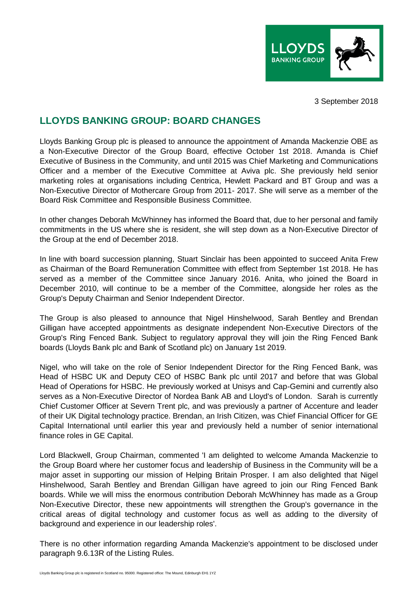

3 September 2018

## **LLOYDS BANKING GROUP: BOARD CHANGES**

Lloyds Banking Group plc is pleased to announce the appointment of Amanda Mackenzie OBE as a Non-Executive Director of the Group Board, effective October 1st 2018. Amanda is Chief Executive of Business in the Community, and until 2015 was Chief Marketing and Communications Officer and a member of the Executive Committee at Aviva plc. She previously held senior marketing roles at organisations including Centrica, Hewlett Packard and BT Group and was a Non-Executive Director of Mothercare Group from 2011- 2017. She will serve as a member of the Board Risk Committee and Responsible Business Committee.

In other changes Deborah McWhinney has informed the Board that, due to her personal and family commitments in the US where she is resident, she will step down as a Non-Executive Director of the Group at the end of December 2018.

In line with board succession planning, Stuart Sinclair has been appointed to succeed Anita Frew as Chairman of the Board Remuneration Committee with effect from September 1st 2018. He has served as a member of the Committee since January 2016. Anita, who joined the Board in December 2010, will continue to be a member of the Committee, alongside her roles as the Group's Deputy Chairman and Senior Independent Director.

The Group is also pleased to announce that Nigel Hinshelwood, Sarah Bentley and Brendan Gilligan have accepted appointments as designate independent Non-Executive Directors of the Group's Ring Fenced Bank. Subject to regulatory approval they will join the Ring Fenced Bank boards (Lloyds Bank plc and Bank of Scotland plc) on January 1st 2019.

Nigel, who will take on the role of Senior Independent Director for the Ring Fenced Bank, was Head of HSBC UK and Deputy CEO of HSBC Bank plc until 2017 and before that was Global Head of Operations for HSBC. He previously worked at Unisys and Cap-Gemini and currently also serves as a Non-Executive Director of Nordea Bank AB and Lloyd's of London. Sarah is currently Chief Customer Officer at Severn Trent plc, and was previously a partner of Accenture and leader of their UK Digital technology practice. Brendan, an Irish Citizen, was Chief Financial Officer for GE Capital International until earlier this year and previously held a number of senior international finance roles in GE Capital.

Lord Blackwell, Group Chairman, commented 'I am delighted to welcome Amanda Mackenzie to the Group Board where her customer focus and leadership of Business in the Community will be a major asset in supporting our mission of Helping Britain Prosper. I am also delighted that Nigel Hinshelwood, Sarah Bentley and Brendan Gilligan have agreed to join our Ring Fenced Bank boards. While we will miss the enormous contribution Deborah McWhinney has made as a Group Non-Executive Director, these new appointments will strengthen the Group's governance in the critical areas of digital technology and customer focus as well as adding to the diversity of background and experience in our leadership roles'.

There is no other information regarding Amanda Mackenzie's appointment to be disclosed under paragraph 9.6.13R of the Listing Rules.